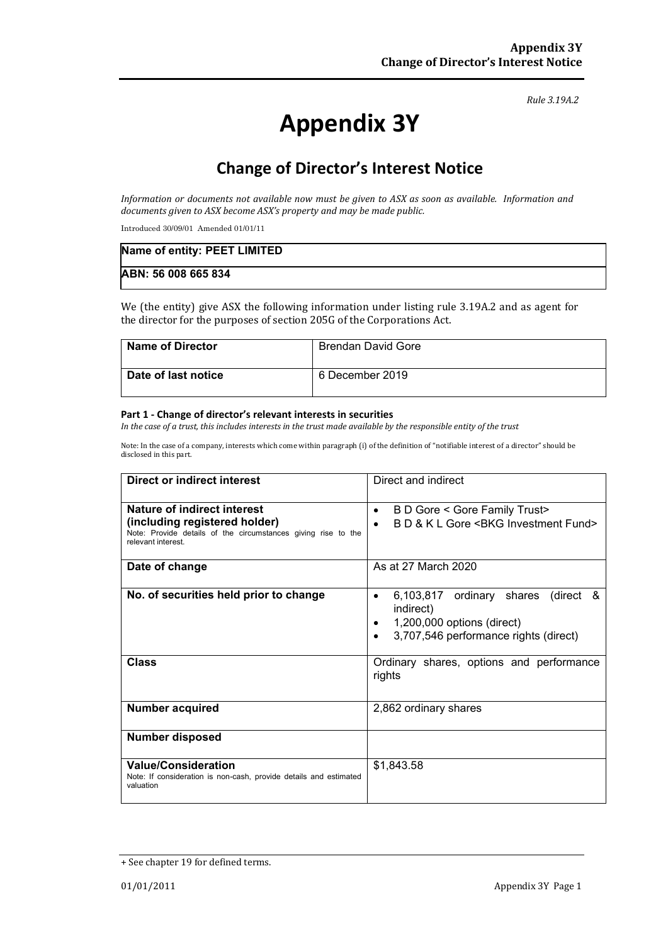#### *Rule 3.19A.2*

# **Appendix 3Y**

# **Change of Director's Interest Notice**

*Information or documents not available now must be given to ASX as soon as available. Information and documents given to ASX become ASX's property and may be made public.*

Introduced 30/09/01 Amended 01/01/11

| Name of entity: PEET LIMITED |  |
|------------------------------|--|
| ABN: 56 008 665 834          |  |

We (the entity) give ASX the following information under listing rule 3.19A.2 and as agent for the director for the purposes of section 205G of the Corporations Act.

| <b>Name of Director</b> | Brendan David Gore |
|-------------------------|--------------------|
| Date of last notice     | 6 December 2019    |

#### **Part 1 - Change of director's relevant interests in securities**

*In the case of a trust, this includes interests in the trust made available by the responsible entity of the trust*

Note: In the case of a company, interests which come within paragraph (i) of the definition of "notifiable interest of a director" should be disclosed in this part.

| <b>Direct or indirect interest</b>                                                                                   | Direct and indirect                                                                                                                     |  |
|----------------------------------------------------------------------------------------------------------------------|-----------------------------------------------------------------------------------------------------------------------------------------|--|
| Nature of indirect interest                                                                                          | B D Gore < Gore Family Trust><br>$\bullet$                                                                                              |  |
| (including registered holder)<br>Note: Provide details of the circumstances giving rise to the<br>relevant interest. | B D & K L Gore < BKG Investment Fund>                                                                                                   |  |
| Date of change                                                                                                       | As at 27 March 2020                                                                                                                     |  |
| No. of securities held prior to change                                                                               | 6,103,817 ordinary shares<br>(direct &<br>$\bullet$<br>indirect)<br>1,200,000 options (direct)<br>3,707,546 performance rights (direct) |  |
| <b>Class</b>                                                                                                         | Ordinary shares, options and performance<br>rights                                                                                      |  |
| <b>Number acquired</b>                                                                                               | 2,862 ordinary shares                                                                                                                   |  |
| <b>Number disposed</b>                                                                                               |                                                                                                                                         |  |
| <b>Value/Consideration</b><br>Note: If consideration is non-cash, provide details and estimated<br>valuation         | \$1,843.58                                                                                                                              |  |

<sup>+</sup> See chapter 19 for defined terms.